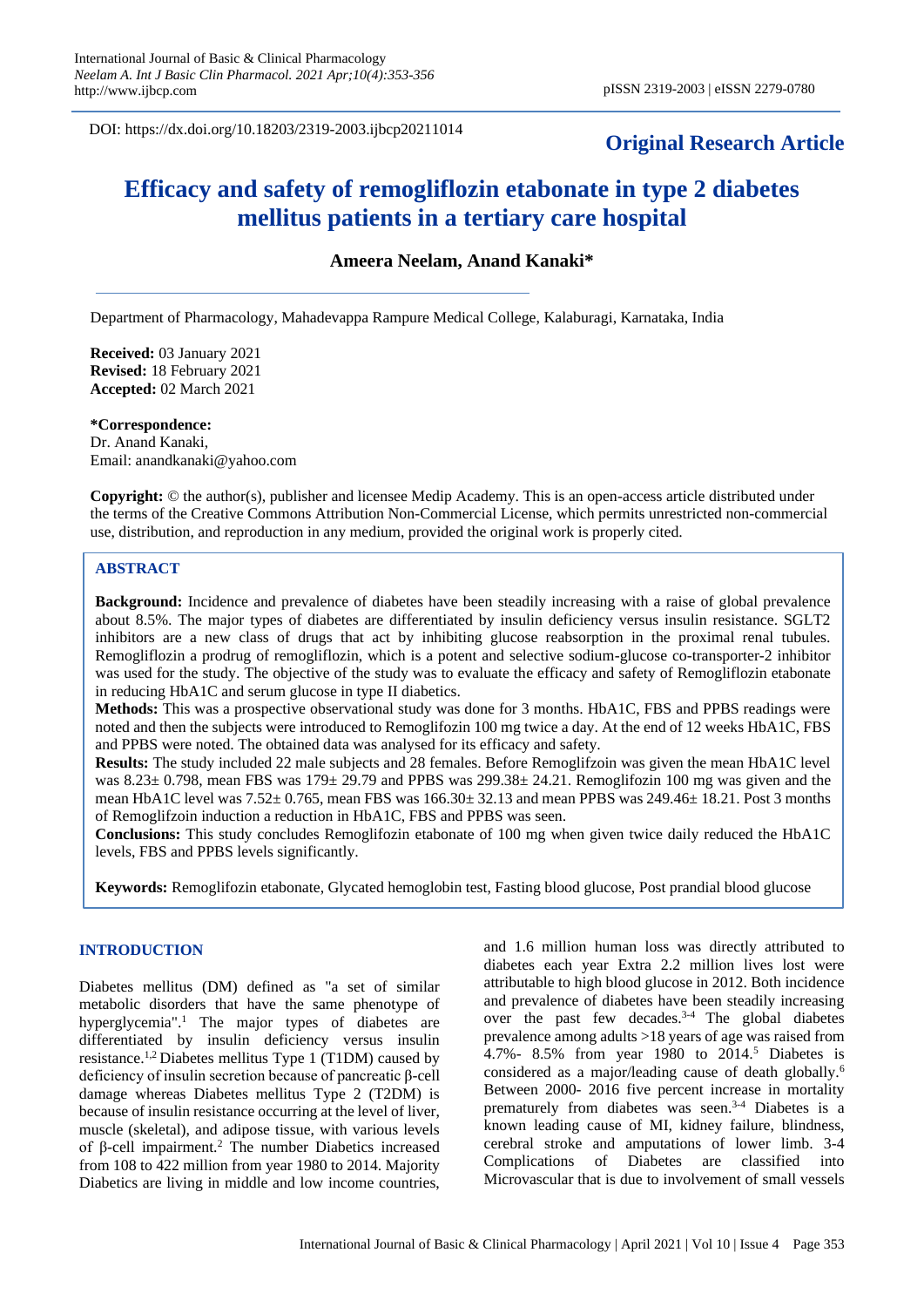DOI: https://dx.doi.org/10.18203/2319-2003.ijbcp20211014

# **Original Research Article**

# **Efficacy and safety of remogliflozin etabonate in type 2 diabetes mellitus patients in a tertiary care hospital**

**Ameera Neelam, Anand Kanaki\***

Department of Pharmacology, Mahadevappa Rampure Medical College, Kalaburagi, Karnataka, India

**Received:** 03 January 2021 **Revised:** 18 February 2021 **Accepted:** 02 March 2021

**\*Correspondence:**

Dr. Anand Kanaki, Email: anandkanaki@yahoo.com

**Copyright:** © the author(s), publisher and licensee Medip Academy. This is an open-access article distributed under the terms of the Creative Commons Attribution Non-Commercial License, which permits unrestricted non-commercial use, distribution, and reproduction in any medium, provided the original work is properly cited.

### **ABSTRACT**

**Background:** Incidence and prevalence of diabetes have been steadily increasing with a raise of global prevalence about 8.5%. The major types of diabetes are differentiated by insulin deficiency versus insulin resistance. SGLT2 inhibitors are a new class of drugs that act by inhibiting glucose reabsorption in the proximal renal tubules. Remogliflozin a prodrug of remogliflozin, which is a potent and selective sodium-glucose co-transporter-2 inhibitor was used for the study. The objective of the study was to evaluate the efficacy and safety of Remogliflozin etabonate in reducing HbA1C and serum glucose in type II diabetics.

**Methods:** This was a prospective observational study was done for 3 months. HbA1C, FBS and PPBS readings were noted and then the subjects were introduced to Remoglifozin 100 mg twice a day. At the end of 12 weeks HbA1C, FBS and PPBS were noted. The obtained data was analysed for its efficacy and safety.

**Results:** The study included 22 male subjects and 28 females. Before Remoglifzoin was given the mean HbA1C level was  $8.23 \pm 0.798$ , mean FBS was  $179 \pm 29.79$  and PPBS was  $299.38 \pm 24.21$ . Remoglifozin 100 mg was given and the mean HbA1C level was  $7.52 \pm 0.765$ , mean FBS was  $166.30 \pm 32.13$  and mean PPBS was  $249.46 \pm 18.21$ . Post 3 months of Remoglifzoin induction a reduction in HbA1C, FBS and PPBS was seen.

**Conclusions:** This study concludes Remoglifozin etabonate of 100 mg when given twice daily reduced the HbA1C levels, FBS and PPBS levels significantly.

**Keywords:** Remoglifozin etabonate, Glycated hemoglobin test, Fasting blood glucose, Post prandial blood glucose

## **INTRODUCTION**

Diabetes mellitus (DM) defined as "a set of similar metabolic disorders that have the same phenotype of hyperglycemia".<sup>1</sup> The major types of diabetes are differentiated by insulin deficiency versus insulin resistance.1,2 Diabetes mellitus Type 1 (T1DM) caused by deficiency of insulin secretion because of pancreatic β-cell damage whereas Diabetes mellitus Type 2 (T2DM) is because of insulin resistance occurring at the level of liver, muscle (skeletal), and adipose tissue, with various levels of β-cell impairment.<sup>2</sup> The number Diabetics increased from 108 to 422 million from year 1980 to 2014. Majority Diabetics are living in middle and low income countries, and 1.6 million human loss was directly attributed to diabetes each year Extra 2.2 million lives lost were attributable to high blood glucose in 2012. Both incidence and prevalence of diabetes have been steadily increasing over the past few decades. $3-4$  The global diabetes prevalence among adults >18 years of age was raised from 4.7%- 8.5% from year 1980 to 2014.<sup>5</sup> Diabetes is considered as a major/leading cause of death globally.<sup>6</sup> Between 2000- 2016 five percent increase in mortality prematurely from diabetes was seen.<sup>3-4</sup> Diabetes is a known leading cause of MI, kidney failure, blindness, cerebral stroke and amputations of lower limb. 3-4 Complications of Diabetes are classified into Microvascular that is due to involvement of small vessels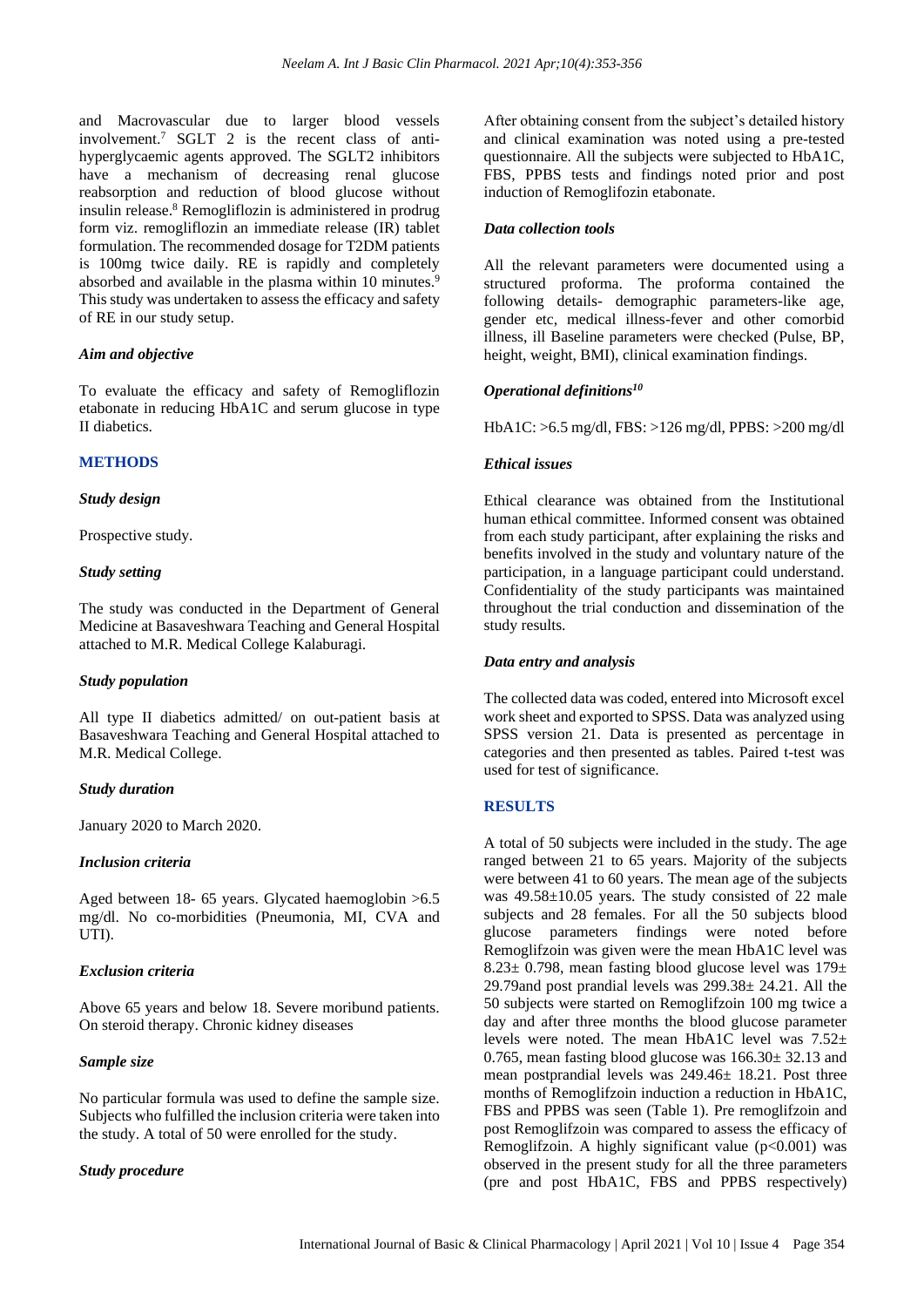and Macrovascular due to larger blood vessels involvement.<sup>7</sup> SGLT 2 is the recent class of antihyperglycaemic agents approved. The SGLT2 inhibitors have a mechanism of decreasing renal glucose reabsorption and reduction of blood glucose without insulin release. <sup>8</sup> Remogliflozin is administered in prodrug form viz. remogliflozin an immediate release (IR) tablet formulation. The recommended dosage for T2DM patients is 100mg twice daily. RE is rapidly and completely absorbed and available in the plasma within 10 minutes.<sup>9</sup> This study was undertaken to assess the efficacy and safety of RE in our study setup.

#### *Aim and objective*

To evaluate the efficacy and safety of Remogliflozin etabonate in reducing HbA1C and serum glucose in type II diabetics.

#### **METHODS**

#### *Study design*

Prospective study.

#### *Study setting*

The study was conducted in the Department of General Medicine at Basaveshwara Teaching and General Hospital attached to M.R. Medical College Kalaburagi.

#### *Study population*

All type II diabetics admitted/ on out-patient basis at Basaveshwara Teaching and General Hospital attached to M.R. Medical College.

#### *Study duration*

January 2020 to March 2020.

#### *Inclusion criteria*

Aged between 18- 65 years. Glycated haemoglobin >6.5 mg/dl. No co-morbidities (Pneumonia, MI, CVA and UTI).

#### *Exclusion criteria*

Above 65 years and below 18. Severe moribund patients. On steroid therapy. Chronic kidney diseases

#### *Sample size*

No particular formula was used to define the sample size. Subjects who fulfilled the inclusion criteria were taken into the study. A total of 50 were enrolled for the study.

#### *Study procedure*

After obtaining consent from the subject's detailed history and clinical examination was noted using a pre-tested questionnaire. All the subjects were subjected to HbA1C, FBS, PPBS tests and findings noted prior and post induction of Remoglifozin etabonate.

#### *Data collection tools*

All the relevant parameters were documented using a structured proforma. The proforma contained the following details- demographic parameters-like age, gender etc, medical illness-fever and other comorbid illness, ill Baseline parameters were checked (Pulse, BP, height, weight, BMI), clinical examination findings.

#### *Operational definitions<sup>10</sup>*

HbA1C: >6.5 mg/dl, FBS: >126 mg/dl, PPBS: >200 mg/dl

#### *Ethical issues*

Ethical clearance was obtained from the Institutional human ethical committee. Informed consent was obtained from each study participant, after explaining the risks and benefits involved in the study and voluntary nature of the participation, in a language participant could understand. Confidentiality of the study participants was maintained throughout the trial conduction and dissemination of the study results.

#### *Data entry and analysis*

The collected data was coded, entered into Microsoft excel work sheet and exported to SPSS. Data was analyzed using SPSS version 21. Data is presented as percentage in categories and then presented as tables. Paired t-test was used for test of significance.

#### **RESULTS**

A total of 50 subjects were included in the study. The age ranged between 21 to 65 years. Majority of the subjects were between 41 to 60 years. The mean age of the subjects was 49.58±10.05 years. The study consisted of 22 male subjects and 28 females. For all the 50 subjects blood glucose parameters findings were noted before Remoglifzoin was given were the mean HbA1C level was 8.23 $\pm$  0.798, mean fasting blood glucose level was 179 $\pm$ 29.79and post prandial levels was 299.38± 24.21. All the 50 subjects were started on Remoglifzoin 100 mg twice a day and after three months the blood glucose parameter levels were noted. The mean HbA1C level was 7.52± 0.765, mean fasting blood glucose was 166.30± 32.13 and mean postprandial levels was 249.46± 18.21. Post three months of Remoglifzoin induction a reduction in HbA1C, FBS and PPBS was seen (Table 1). Pre remoglifzoin and post Remoglifzoin was compared to assess the efficacy of Remoglifzoin. A highly significant value  $(p<0.001)$  was observed in the present study for all the three parameters (pre and post HbA1C, FBS and PPBS respectively)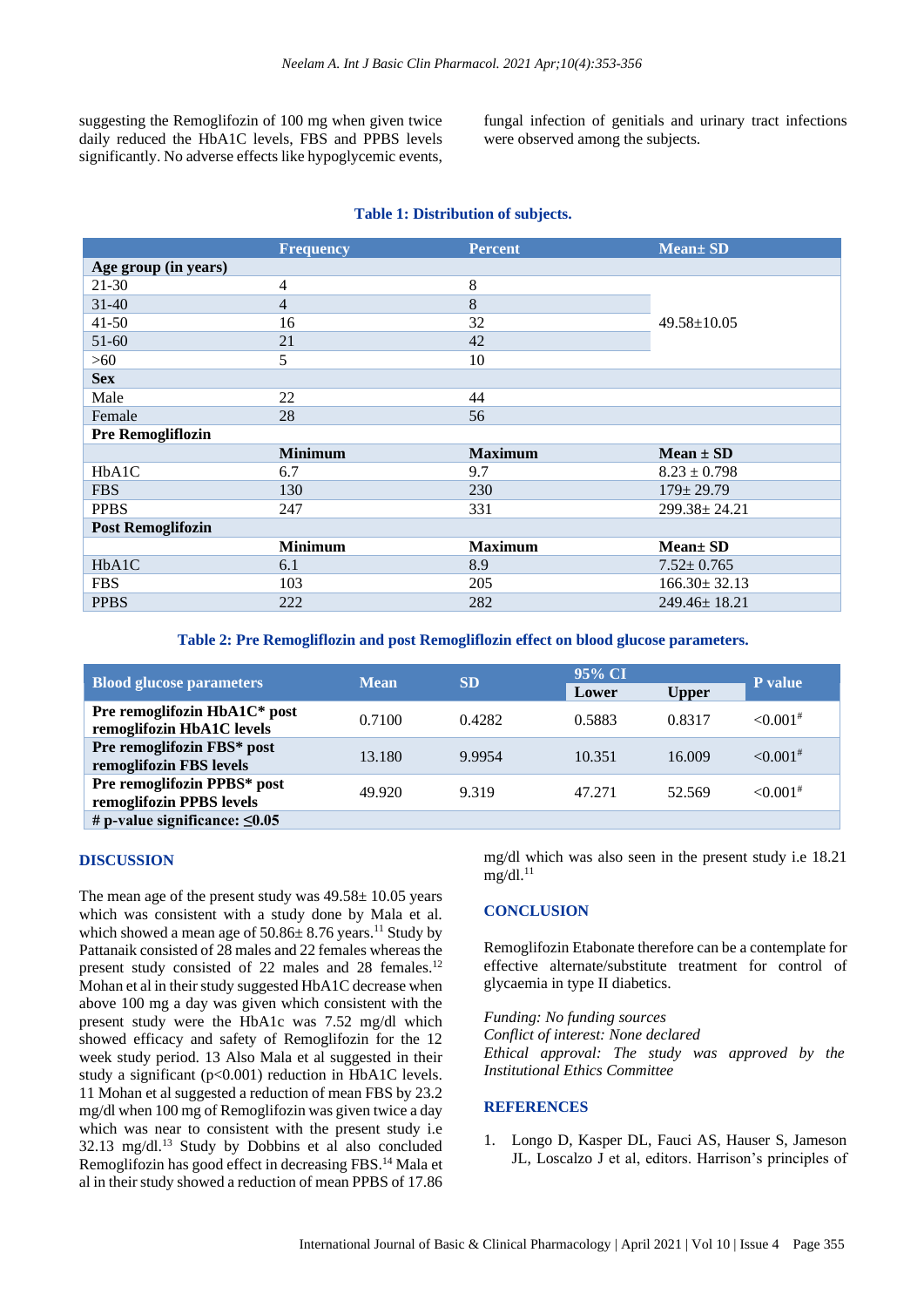suggesting the Remoglifozin of 100 mg when given twice daily reduced the HbA1C levels, FBS and PPBS levels significantly. No adverse effects like hypoglycemic events,

fungal infection of genitials and urinary tract infections were observed among the subjects.

#### **Table 1: Distribution of subjects.**

| <b>Frequency</b> | <b>Percent</b> | <b>Mean</b> ± SD   |  |
|------------------|----------------|--------------------|--|
|                  |                |                    |  |
| $\overline{4}$   | 8              |                    |  |
| $\overline{4}$   | 8              |                    |  |
| 16               | 32             | $49.58 \pm 10.05$  |  |
| 21               | 42             |                    |  |
| 5                | 10             |                    |  |
|                  |                |                    |  |
| 22               | 44             |                    |  |
| 28               | 56             |                    |  |
|                  |                |                    |  |
| <b>Minimum</b>   | <b>Maximum</b> | $Mean \pm SD$      |  |
| 6.7              | 9.7            | $8.23 \pm 0.798$   |  |
| 130              | 230            | $179 \pm 29.79$    |  |
| 247              | 331            | $299.38 \pm 24.21$ |  |
|                  |                |                    |  |
| <b>Minimum</b>   | <b>Maximum</b> | Mean ± SD          |  |
| 6.1              | 8.9            | $7.52 \pm 0.765$   |  |
| 103              | 205            | $166.30 \pm 32.13$ |  |
| 222              | 282            | $249.46 \pm 18.21$ |  |
|                  |                |                    |  |

**Table 2: Pre Remogliflozin and post Remogliflozin effect on blood glucose parameters.**

| <b>Blood glucose parameters</b>                           | <b>Mean</b> | <b>SD</b> | 95% CI |              | <b>P</b> value         |
|-----------------------------------------------------------|-------------|-----------|--------|--------------|------------------------|
|                                                           |             |           | Lower  | <b>Upper</b> |                        |
| Pre remoglifozin HbA1C* post<br>remoglifozin HbA1C levels | 0.7100      | 0.4282    | 0.5883 | 0.8317       | $< 0.001$ <sup>#</sup> |
| Pre remoglifozin FBS* post<br>remoglifozin FBS levels     | 13.180      | 9.9954    | 10.351 | 16.009       | $< 0.001$ <sup>#</sup> |
| Pre remoglifozin PPBS* post<br>remoglifozin PPBS levels   | 49.920      | 9.319     | 47.271 | 52.569       | $< 0.001$ <sup>#</sup> |
| # p-value significance: $\leq 0.05$                       |             |           |        |              |                        |

#### **DISCUSSION**

The mean age of the present study was  $49.58 \pm 10.05$  years which was consistent with a study done by Mala et al. which showed a mean age of  $50.86 \pm 8.76$  years.<sup>11</sup> Study by Pattanaik consisted of 28 males and 22 females whereas the present study consisted of 22 males and 28 females.<sup>12</sup> Mohan et al in their study suggested HbA1C decrease when above 100 mg a day was given which consistent with the present study were the HbA1c was 7.52 mg/dl which showed efficacy and safety of Remoglifozin for the 12 week study period. 13 Also Mala et al suggested in their study a significant (p<0.001) reduction in HbA1C levels. 11 Mohan et al suggested a reduction of mean FBS by 23.2 mg/dl when 100 mg of Remoglifozin was given twice a day which was near to consistent with the present study i.e 32.13 mg/dl.<sup>13</sup> Study by Dobbins et al also concluded Remoglifozin has good effect in decreasing FBS.<sup>14</sup> Mala et al in their study showed a reduction of mean PPBS of 17.86

mg/dl which was also seen in the present study i.e 18.21  $mg/dl.^{11}$ 

#### **CONCLUSION**

Remoglifozin Etabonate therefore can be a contemplate for effective alternate/substitute treatment for control of glycaemia in type II diabetics.

*Funding: No funding sources Conflict of interest: None declared Ethical approval: The study was approved by the Institutional Ethics Committee*

#### **REFERENCES**

1. Longo D, Kasper DL, Fauci AS, Hauser S, Jameson JL, Loscalzo J et al, editors. Harrison's principles of